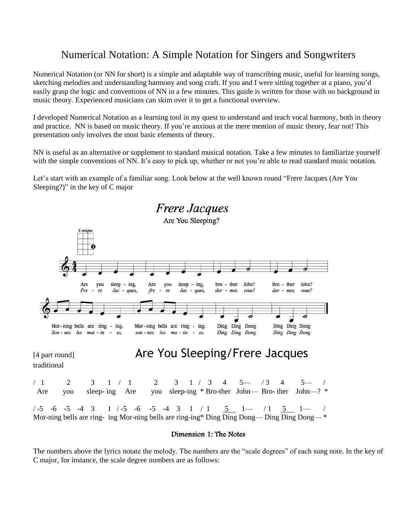## Numerical Notation: A Simple Notation for Singers and Songwriters

Numerical Notation (or NN for short) is a simple and adaptable way of transcribing music, useful for learning songs, sketching melodies and understanding harmony and song craft. If you and I were sitting together at a piano, you'd easily grasp the logic and conventions of NN in a few minutes. This guide is written for those with no background in music theory. Experienced musicians can skim over it to get a functional overview.

I developed Numerical Notation as a learning tool in my quest to understand and teach vocal harmony, both in theory and practice. NN is based on music theory. If you're anxious at the mere mention of music theory, fear not! This presentation only involves the most basic elements of theory.

NN is useful as an alternative or supplement to standard musical notation. Take a few minutes to familiarize yourself with the simple conventions of NN. It's easy to pick up, whether or not you're able to read standard music notation.

Let's start with an example of a familiar song. Look below at the well known round "Frere Jacques (Are You Sleeping?)" in the key of C major



#### Dimension 1: The Notes

The numbers above the lyrics notate the melody. The numbers are the "scale degrees" of each sung note. In the key of C major, for instance, the scale degree numbers are as follows: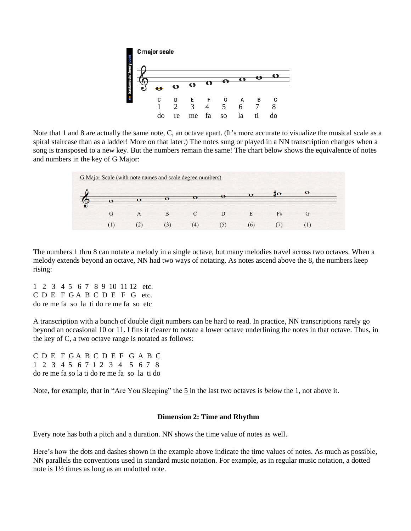

Note that 1 and 8 are actually the same note, C, an octave apart. (It's more accurate to visualize the musical scale as a spiral staircase than as a ladder! More on that later.) The notes sung or played in a NN transcription changes when a song is transposed to a new key. But the numbers remain the same! The chart below shows the equivalence of notes and numbers in the key of G Major:

|  |                |         | н        | F# |  |
|--|----------------|---------|----------|----|--|
|  | $\mathfrak{c}$ | $\circ$ | $\sigma$ |    |  |

The numbers 1 thru 8 can notate a melody in a single octave, but many melodies travel across two octaves. When a melody extends beyond an octave, NN had two ways of notating. As notes ascend above the 8, the numbers keep rising:

1 2 3 4 5 6 7 8 9 10 11 12 etc. C D E F G A B C D E F G etc. do re me fa so la ti do re me fa so etc

A transcription with a bunch of double digit numbers can be hard to read. In practice, NN transcriptions rarely go beyond an occasional 10 or 11. I fins it clearer to notate a lower octave underlining the notes in that octave. Thus, in the key of C, a two octave range is notated as follows:

C D E F G A B C D E F G A B C 1 2 3 4 5 6 7 1 2 3 4 5 6 7 8 do re me fa so la ti do re me fa so la ti do

Note, for example, that in "Are You Sleeping" the 5 in the last two octaves is *below* the 1, not above it.

#### **Dimension 2: Time and Rhythm**

Every note has both a pitch and a duration. NN shows the time value of notes as well.

Here's how the dots and dashes shown in the example above indicate the time values of notes. As much as possible, NN parallels the conventions used in standard music notation. For example, as in regular music notation, a dotted note is 1½ times as long as an undotted note.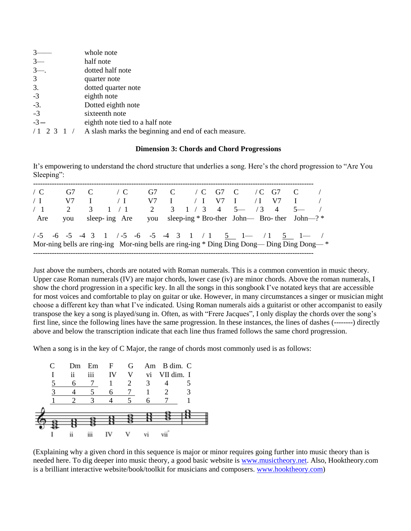|       | whole note                                           |
|-------|------------------------------------------------------|
| $3-$  | half note                                            |
| $3-$  | dotted half note                                     |
| 3     | quarter note                                         |
| 3.    | dotted quarter note                                  |
| $-3$  | eighth note                                          |
| $-3.$ | Dotted eighth note                                   |
| $=3$  | sixteenth note                                       |
| $-3-$ | eighth note tied to a half note                      |
|       | A slash marks the beginning and end of each measure. |

#### **Dimension 3: Chords and Chord Progressions**

It's empowering to understand the chord structure that underlies a song. Here's the chord progression to "Are You Sleeping":

| $\angle$ C | G7 C |               | $\angle$ C                                                                                  |   | G7 C $\}/C$ G7 C $\}/C$ G7 C                     |  |  | $\overline{\phantom{a}}$ |
|------------|------|---------------|---------------------------------------------------------------------------------------------|---|--------------------------------------------------|--|--|--------------------------|
| $\perp$ I  | V7   | $\mathbf{I}$  | $\sqrt{I}$                                                                                  |   | $V7$ I $/$ I $V7$ I $/$ I $V7$                   |  |  |                          |
| /1         | 2    | $\mathcal{E}$ | 1 / 1                                                                                       | 2 | $3 \t1 \t3 \t4 \t5 \t- \t73 \t4 \t5 \t-$         |  |  |                          |
| Are        |      |               | you sleep-ing Are                                                                           |   | you sleep-ing * Bro-ther John— Bro-ther John—? * |  |  |                          |
|            |      |               |                                                                                             |   |                                                  |  |  |                          |
|            |      |               | Mor-ning bells are ring-ing Mor-ning bells are ring-ing * Ding Ding Dong— Ding Ding Dong— * |   |                                                  |  |  |                          |
|            |      |               |                                                                                             |   |                                                  |  |  |                          |

Just above the numbers, chords are notated with Roman numerals. This is a common convention in music theory. Upper case Roman numerals (IV) are major chords, lower case (iv) are minor chords. Above the roman numerals, I show the chord progression in a specific key. In all the songs in this songbook I've notated keys that are accessible for most voices and comfortable to play on guitar or uke. However, in many circumstances a singer or musician might choose a different key than what I've indicated. Using Roman numerals aids a guitarist or other accompanist to easily transpose the key a song is played/sung in. Often, as with "Frere Jacques", I only display the chords over the song's first line, since the following lines have the same progression. In these instances, the lines of dashes (--------) directly above and below the transcription indicate that each line thus framed follows the same chord progression.

When a song is in the key of C Major, the range of chords most commonly used is as follows:



(Explaining why a given chord in this sequence is major or minor requires going further into music theory than is needed here. To dig deeper into music theory, a good basic website is [www.musictheory.net.](http://www.musictheory.net/) Also, Hooktheory.com is a brilliant interactive website/book/toolkit for musicians and composers. [www.hooktheory.com\)](http://www.hooktheory.com/)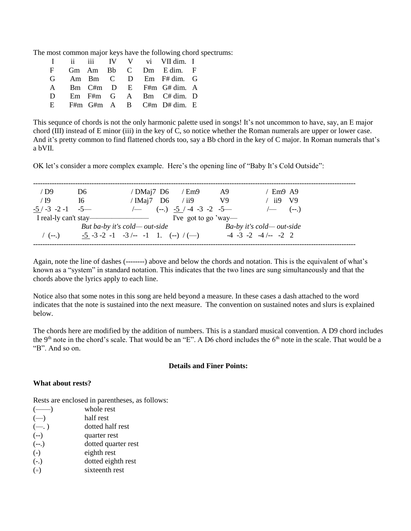The most common major keys have the following chord spectrums:

|              |  |  | I ii iii IV V vi VII dim. I          |  |
|--------------|--|--|--------------------------------------|--|
|              |  |  | Gm Am Bb C Dm Edim. F                |  |
|              |  |  | $G$ Am Bm $C$ D Em F# dim. $G$       |  |
|              |  |  | A Bm C#m D E F#m G# dim. A           |  |
| $\mathbf{D}$ |  |  | $Em$ $F#m$ $G$ $A$ $Bm$ $C# dim$ . D |  |
| E.           |  |  | F#m G#m A B C#m D# dim. E            |  |
|              |  |  |                                      |  |

This sequnce of chords is not the only harmonic palette used in songs! It's not uncommon to have, say, an E major chord (III) instead of E minor (iii) in the key of C, so notice whether the Roman numerals are upper or lower case. And it's pretty common to find flattened chords too, say a Bb chord in the key of C major. In Roman numerals that's a bVII*.*

OK let's consider a more complex example. Here's the opening line of "Baby It's Cold Outside":

| $/$ D9                | D6 |                                                          | / $DMai7$ D6 / $Em9$                  | <sup>A9</sup> |                                  | $'$ Em9 A9                                            |  |
|-----------------------|----|----------------------------------------------------------|---------------------------------------|---------------|----------------------------------|-------------------------------------------------------|--|
| /19                   | 16 | / $IMai7$ D6 / ii9                                       |                                       | V9            |                                  | ii9 V9                                                |  |
| $-5/ -3 -2 -1 -5$     |    |                                                          | $\leftarrow$ (--.) -5 / -4 -3 -2 -5 — |               |                                  | $\left(\frac{1}{2}\right)$ $\left(\frac{1}{2}\right)$ |  |
| I real-ly can't stay— |    |                                                          | I've got to go 'way—                  |               |                                  |                                                       |  |
|                       |    | But ba-by it's cold—out-side                             |                                       |               | $Ba-by$ it's cold—out-side       |                                                       |  |
| $($ (--.)             |    | $-5$ $-3$ $-2$ $-1$ $-3$ $/$ $ -1$ $1$ . $(-)$ $/$ $(-)$ |                                       |               | $-4$ $-3$ $-2$ $-4$ $/$ $-2$ $2$ |                                                       |  |
|                       |    |                                                          |                                       |               |                                  |                                                       |  |

Again, note the line of dashes (--------) above and below the chords and notation. This is the equivalent of what's known as a "system" in standard notation. This indicates that the two lines are sung simultaneously and that the chords above the lyrics apply to each line.

Notice also that some notes in this song are held beyond a measure. In these cases a dash attached to the word indicates that the note is sustained into the next measure. The convention on sustained notes and slurs is explained below.

The chords here are modified by the addition of numbers. This is a standard musical convention. A D9 chord includes the 9<sup>th</sup> note in the chord's scale. That would be an "E". A D6 chord includes the  $6<sup>th</sup>$  note in the scale. That would be a "B". And so on.

#### **Details and Finer Points:**

#### **What about rests?**

Rests are enclosed in parentheses, as follows:

| whole rest          |
|---------------------|
| half rest           |
| dotted half rest    |
| quarter rest        |
| dotted quarter rest |
| eighth rest         |
| dotted eighth rest  |
| sixteenth rest      |
|                     |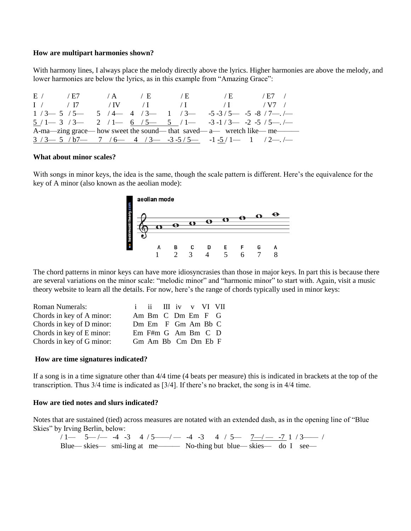#### **How are multipart harmonies shown?**

With harmony lines, I always place the melody directly above the lyrics. Higher harmonies are above the melody, and lower harmonies are below the lyrics, as in this example from "Amazing Grace":

|                | E / L7      | $\angle A$ | $\overline{E}$ | $\angle$ E | $\overline{E}$ | $/ E7$ /                                                                          |
|----------------|-------------|------------|----------------|------------|----------------|-----------------------------------------------------------------------------------|
| $\mathbf{I}$ / | $\sqrt{17}$ | $\sqrt{N}$ | $\sqrt{1}$     | $\sqrt{1}$ | $\sqrt{I}$     | $/ V7$ /                                                                          |
|                |             |            |                |            |                | $1/3$ - 5 $/5$ - 5 $/4$ - 4 $/3$ - $1/3$ - $-$ 5 $-3/5$ - 5 $-8/7$ - $/$          |
|                |             |            |                |            |                | $5/1$ $ 3/3$ $ 2/1$ $ 6/5$ $ 5/1$ $  3-1/3$ $  2-5/5$ $-$ .                       |
|                |             |            |                |            |                | A-ma—zing grace— how sweet the sound— that saved— a— wretch like— me—             |
|                |             |            |                |            |                | $3/3$ $-$ 5 $/6$ $-$ 7 $/6$ $-$ 4 $/3$ $ -3$ $-5/5$ $ -1$ $-5/1$ $-$ 1 $/2$ $-$ . |

#### **What about minor scales?**

With songs in minor keys, the idea is the same, though the scale pattern is different. Here's the equivalence for the key of A minor (also known as the aeolian mode):



The chord patterns in minor keys can have more idiosyncrasies than those in major keys. In part this is because there are several variations on the minor scale: "melodic minor" and "harmonic minor" to start with. Again, visit a music theory website to learn all the details. For now, here's the range of chords typically used in minor keys:

| <b>Roman Numerals:</b>    | i ii III iv v VI VII             |  |  |  |
|---------------------------|----------------------------------|--|--|--|
| Chords in key of A minor: | Am Bm C Dm Em F G                |  |  |  |
| Chords in key of D minor: | Dm Em F Gm Am Bb C               |  |  |  |
| Chords in key of E minor: | $Em$ $F#m$ $G$ $Am$ $Bm$ $C$ $D$ |  |  |  |
| Chords in key of G minor: | Gm Am Bb Cm Dm Eb F              |  |  |  |

#### **How are time signatures indicated?**

If a song is in a time signature other than 4/4 time (4 beats per measure) this is indicated in brackets at the top of the transcription. Thus 3/4 time is indicated as [3/4]. If there's no bracket, the song is in 4/4 time.

#### **How are tied notes and slurs indicated?**

Notes that are sustained (tied) across measures are notated with an extended dash, as in the opening line of "Blue Skies" by Irving Berlin, below:

/ 1— 5— /— -4 -3 4 / 5—— /— -4 -3 4 / 5— <u>7—/— -7</u> 1 / 3—— / Blue— skies— smi-ling at me——— No-thing but blue— skies— do I see—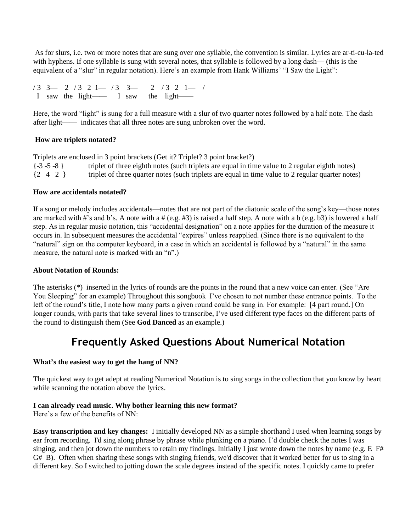As for slurs, i.e. two or more notes that are sung over one syllable, the convention is similar. Lyrics are ar-ti-cu-la-ted with hyphens. If one syllable is sung with several notes, that syllable is followed by a long dash— (this is the equivalent of a "slur" in regular notation). Here's an example from Hank Williams' "I Saw the Light":

/ 3 3— 2 / 3 2 1— / 3 3— 2 / 3 2 1— / I saw the light—— I saw the light——

Here, the word "light" is sung for a full measure with a slur of two quarter notes followed by a half note. The dash after light—— indicates that all three notes are sung unbroken over the word.

### **How are triplets notated?**

Triplets are enclosed in 3 point brackets (Get it? Triplet? 3 point bracket?) {-3 -5 -8 } triplet of three eighth notes (such triplets are equal in time value to 2 regular eighth notes) {2 4 2 } triplet of three quarter notes (such triplets are equal in time value to 2 regular quarter notes)

#### **How are accidentals notated?**

If a song or melody includes accidentals—notes that are not part of the diatonic scale of the song's key—those notes are marked with #'s and b's. A note with a # (e.g. #3) is raised a half step. A note with a b (e.g. b3) is lowered a half step. As in regular music notation, this "accidental designation" on a note applies for the duration of the measure it occurs in. In subsequent measures the accidental "expires" unless reapplied. (Since there is no equivalent to the "natural" sign on the computer keyboard, in a case in which an accidental is followed by a "natural" in the same measure, the natural note is marked with an "n".)

#### **About Notation of Rounds:**

The asterisks (\*) inserted in the lyrics of rounds are the points in the round that a new voice can enter. (See "Are You Sleeping" for an example) Throughout this songbook I've chosen to not number these entrance points. To the left of the round's title, I note how many parts a given round could be sung in. For example: [4 part round.] On longer rounds, with parts that take several lines to transcribe, I've used different type faces on the different parts of the round to distinguish them (See **God Danced** as an example.)

# **Frequently Asked Questions About Numerical Notation**

#### **What's the easiest way to get the hang of NN?**

The quickest way to get adept at reading Numerical Notation is to sing songs in the collection that you know by heart while scanning the notation above the lyrics.

## **I can already read music. Why bother learning this new format?**

Here's a few of the benefits of NN:

**Easy transcription and key changes:** I initially developed NN as a simple shorthand I used when learning songs by ear from recording. I'd sing along phrase by phrase while plunking on a piano. I'd double check the notes I was singing, and then jot down the numbers to retain my findings. Initially I just wrote down the notes by name (e.g. E F# G# B). Often when sharing these songs with singing friends, we'd discover that it worked better for us to sing in a different key. So I switched to jotting down the scale degrees instead of the specific notes. I quickly came to prefer